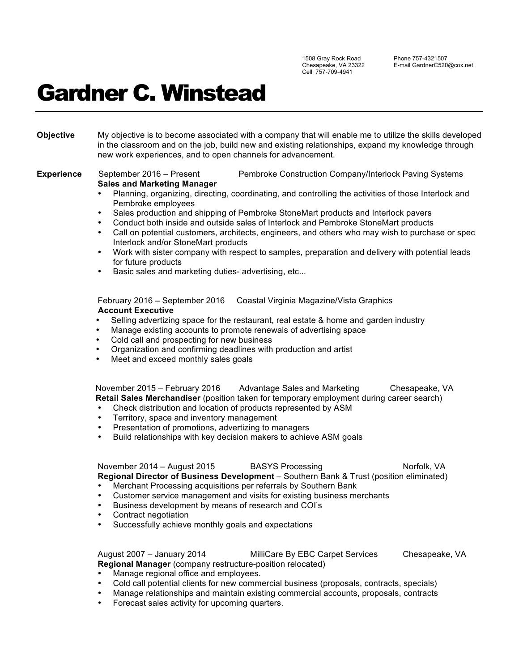1508 Gray Rock Road Chesapeake, VA 23322 Cell 757-709-4941

Phone 757-4321507 E-mail GardnerC520@cox.net

## Gardner C. Winstead

**Objective** My objective is to become associated with a company that will enable me to utilize the skills developed in the classroom and on the job, build new and existing relationships, expand my knowledge through new work experiences, and to open channels for advancement.

**Experience** September 2016 – Present Pembroke Construction Company/Interlock Paving Systems **Sales and Marketing Manager**

- Planning, organizing, directing, coordinating, and controlling the activities of those Interlock and Pembroke employees
- Sales production and shipping of Pembroke StoneMart products and Interlock pavers
- Conduct both inside and outside sales of Interlock and Pembroke StoneMart products
- Call on potential customers, architects, engineers, and others who may wish to purchase or spec Interlock and/or StoneMart products
- Work with sister company with respect to samples, preparation and delivery with potential leads for future products
- Basic sales and marketing duties- advertising, etc...

February 2016 – September 2016 Coastal Virginia Magazine/Vista Graphics  **Account Executive**

- Selling advertizing space for the restaurant, real estate & home and garden industry
- Manage existing accounts to promote renewals of advertising space
- Cold call and prospecting for new business
- Organization and confirming deadlines with production and artist
- Meet and exceed monthly sales goals

November 2015 – February 2016 Advantage Sales and Marketing Chesapeake, VA **Retail Sales Merchandiser** (position taken for temporary employment during career search)

- Check distribution and location of products represented by ASM
- Territory, space and inventory management
- Presentation of promotions, advertizing to managers
- Build relationships with key decision makers to achieve ASM goals

**November 2014 – August 2015 BASYS Processing Norfolk, VA Norfolk, VA Regional Director of Business Development** – Southern Bank & Trust (position eliminated) • Merchant Processing acquisitions per referrals by Southern Bank

- Customer service management and visits for existing business merchants
- Business development by means of research and COI's
- Contract negotiation
- Successfully achieve monthly goals and expectations

## August 2007 – January 2014 MilliCare By EBC Carpet Services Chesapeake, VA **Regional Manager** (company restructure-position relocated)

- Manage regional office and employees.
- Cold call potential clients for new commercial business (proposals, contracts, specials)
- Manage relationships and maintain existing commercial accounts, proposals, contracts
- Forecast sales activity for upcoming quarters.